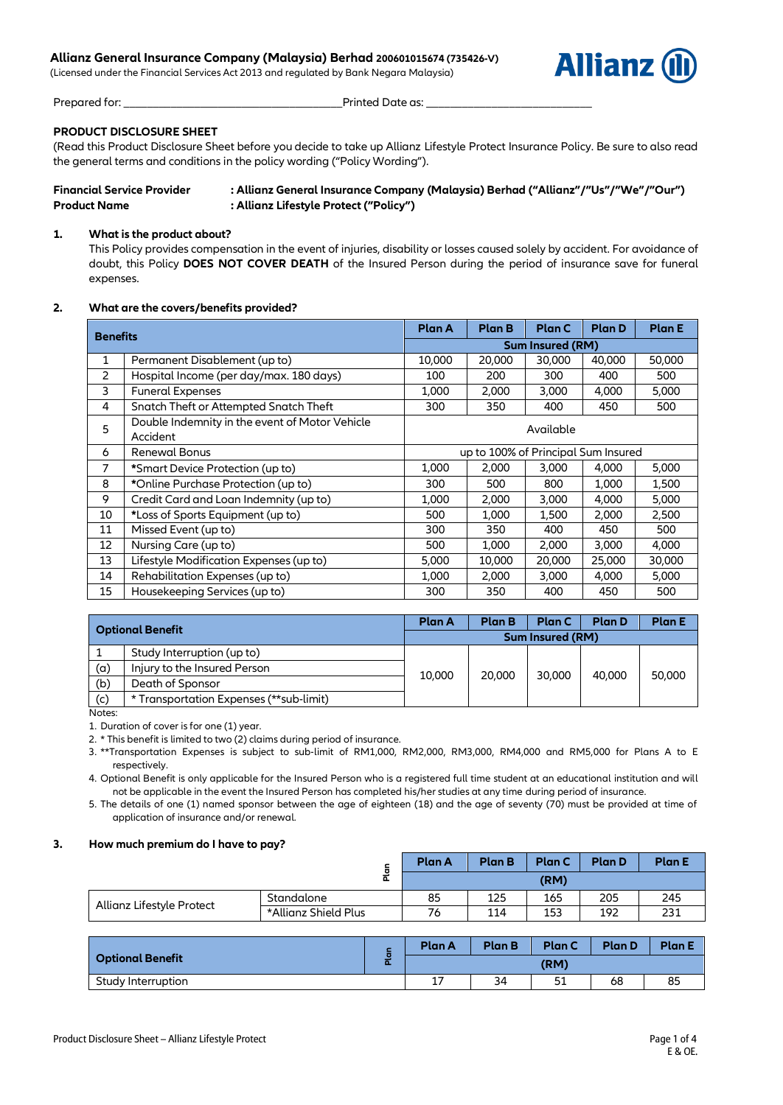# **Allianz General Insurance Company (Malaysia) Berhad 200601015674 (735426-V)**

(Licensed under the Financial Services Act 2013 and regulated by Bank Negara Malaysia)



Prepared for: \_\_\_\_\_\_\_\_\_\_\_\_\_\_\_\_\_\_\_\_\_\_\_\_\_\_\_\_\_\_\_\_\_\_\_\_\_Printed Date as: \_\_\_\_\_\_\_\_\_\_\_\_\_\_\_\_\_\_\_\_\_\_\_\_\_\_\_\_

# **PRODUCT DISCLOSURE SHEET**

(Read this Product Disclosure Sheet before you decide to take up Allianz Lifestyle Protect Insurance Policy. Be sure to also read the general terms and conditions in the policy wording ("Policy Wording").

| <b>Financial Service Provider</b> | : Allianz General Insurance Company (Malaysia) Berhad ("Allianz"/"Us"/"We"/"Our") |
|-----------------------------------|-----------------------------------------------------------------------------------|
| <b>Product Name</b>               | : Allianz Lifestyle Protect ("Policy")                                            |

## **1. What is the product about?**

This Policy provides compensation in the event of injuries, disability or losses caused solely by accident. For avoidance of doubt, this Policy **DOES NOT COVER DEATH** of the Insured Person during the period of insurance save for funeral expenses.

# **2. What are the covers/benefits provided?**

| <b>Benefits</b> |                                                | Plan A                              | <b>Plan B</b> | <b>Plan C</b> | <b>Plan D</b> | <b>Plan E</b> |  |
|-----------------|------------------------------------------------|-------------------------------------|---------------|---------------|---------------|---------------|--|
|                 |                                                | Sum Insured (RM)                    |               |               |               |               |  |
| $\mathbf{1}$    | Permanent Disablement (up to)                  | 10,000                              | 20,000        | 30,000        | 40,000        | 50,000        |  |
| 2               | Hospital Income (per day/max, 180 days)        | 100                                 | 200           | 300           | 400           | 500           |  |
| 3               | <b>Funeral Expenses</b>                        | 1,000                               | 2,000         | 3,000         | 4,000         | 5,000         |  |
| 4               | Snatch Theft or Attempted Snatch Theft         | 300                                 | 350           | 400           | 450           | 500           |  |
| 5               | Double Indemnity in the event of Motor Vehicle | Available                           |               |               |               |               |  |
|                 | Accident                                       |                                     |               |               |               |               |  |
| 6               | <b>Renewal Bonus</b>                           | up to 100% of Principal Sum Insured |               |               |               |               |  |
| 7               | *Smart Device Protection (up to)               | 1,000                               | 2,000         | 3,000         | 4,000         | 5,000         |  |
| 8               | *Online Purchase Protection (up to)            | 300                                 | 500           | 800           | 1,000         | 1,500         |  |
| 9               | Credit Card and Loan Indemnity (up to)         | 1,000                               | 2,000         | 3,000         | 4,000         | 5,000         |  |
| 10              | *Loss of Sports Equipment (up to)              | 500                                 | 1,000         | 1,500         | 2,000         | 2,500         |  |
| 11              | Missed Event (up to)                           | 300                                 | 350           | 400           | 450           | 500           |  |
| 12              | Nursing Care (up to)                           | 500                                 | 1,000         | 2,000         | 3,000         | 4,000         |  |
| 13              | Lifestyle Modification Expenses (up to)        | 5,000                               | 10,000        | 20,000        | 25,000        | 30,000        |  |
| 14              | Rehabilitation Expenses (up to)                | 1,000                               | 2,000         | 3,000         | 4,000         | 5,000         |  |
| 15              | Housekeeping Services (up to)                  | 300                                 | 350           | 400           | 450           | 500           |  |

| <b>Optional Benefit</b>                 |  | <b>Plan B</b>           | Plan C | <b>Plan D</b> | <b>Plan E</b> |
|-----------------------------------------|--|-------------------------|--------|---------------|---------------|
|                                         |  | <b>Sum Insured (RM)</b> |        |               |               |
| Study Interruption (up to)              |  |                         |        |               |               |
| Injury to the Insured Person            |  |                         |        |               | 50,000        |
| Death of Sponsor                        |  |                         |        |               |               |
| * Transportation Expenses (**sub-limit) |  |                         |        |               |               |
|                                         |  | <b>Plan A</b><br>10,000 | 20,000 | 30,000        | 40,000        |

Notes:

1. Duration of cover is for one (1) year.

2. \* This benefit is limited to two (2) claims during period of insurance.

3. \*\*Transportation Expenses is subject to sub-limit of RM1,000, RM2,000, RM3,000, RM4,000 and RM5,000 for Plans A to E respectively.

4. Optional Benefit is only applicable for the Insured Person who is a registered full time student at an educational institution and will not be applicable in the event the Insured Person has completed his/her studies at any time during period of insurance.

5. The details of one (1) named sponsor between the age of eighteen (18) and the age of seventy (70) must be provided at time of application of insurance and/or renewal.

## **3. How much premium do I have to pay?**

| ⊆<br>ō<br>௳               |                      | <b>Plan A</b> | <b>Plan B</b> | <b>Plan C</b> | <b>Plan D</b> | <b>Plan E</b> |
|---------------------------|----------------------|---------------|---------------|---------------|---------------|---------------|
|                           |                      | (RM)          |               |               |               |               |
|                           | Standalone           | 85            | 125           | 165           | 205           | 245           |
| Allianz Lifestyle Protect | *Allianz Shield Plus | 76            | 114           | 153           | 192           | 231           |

|                         | р. | <b>Plan A</b>  | <b>Plan B</b> | <b>Plan C</b> | <b>Plan D</b> | <b>Plan E</b> |
|-------------------------|----|----------------|---------------|---------------|---------------|---------------|
| <b>Optional Benefit</b> |    | (RM)           |               |               |               |               |
| Study Interruption      |    | 17<br><b>L</b> | 34            | 51            | 68            | 85            |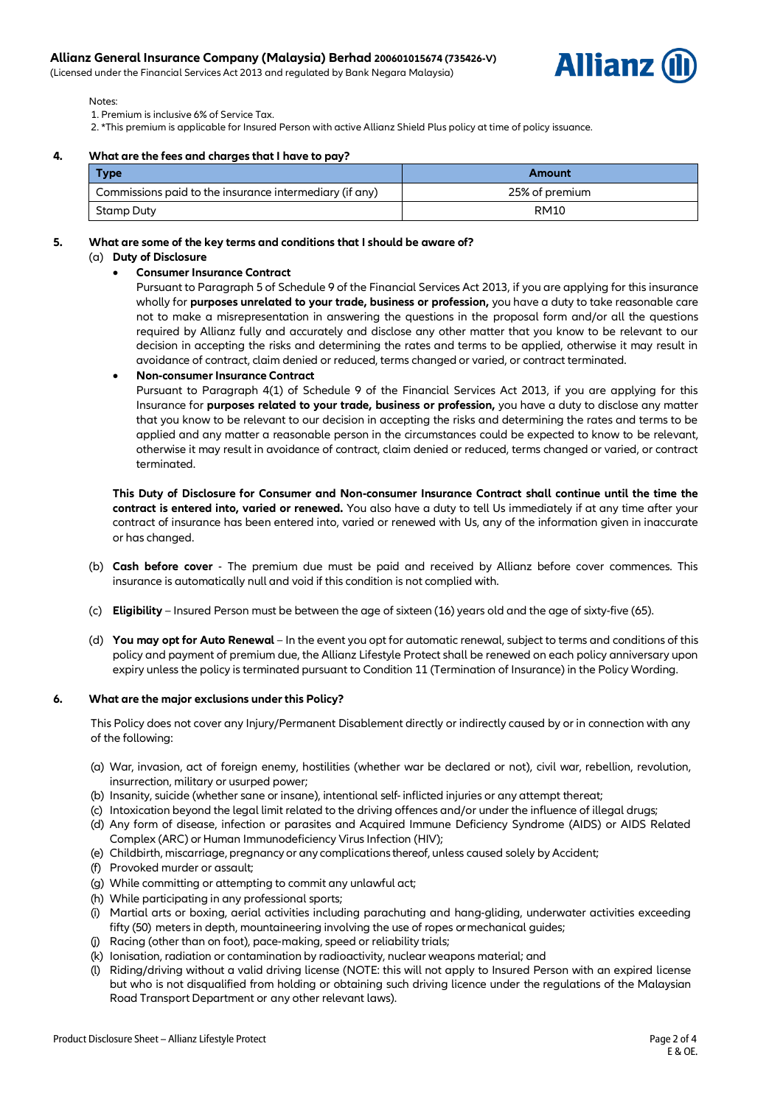(Licensed under the Financial Services Act 2013 and regulated by Bank Negara Malaysia)



Notes:

1. Premium is inclusive 6% of Service Tax.

2. \*This premium is applicable for Insured Person with active Allianz Shield Plus policy at time of policy issuance.

#### **4. What are the fees and charges that I have to pay?**

| <b>Type</b>                                             | Amount         |
|---------------------------------------------------------|----------------|
| Commissions paid to the insurance intermediary (if any) | 25% of premium |
| Stamp Duty                                              | RM10           |

## **5. What are some of the key terms and conditions that I should be aware of?**

# (a) **Duty of Disclosure**

**Consumer Insurance Contract** 

Pursuant to Paragraph 5 of Schedule 9 of the Financial Services Act 2013, if you are applying for this insurance wholly for **purposes unrelated to your trade, business or profession,** you have a duty to take reasonable care not to make a misrepresentation in answering the questions in the proposal form and/or all the questions required by Allianz fully and accurately and disclose any other matter that you know to be relevant to our decision in accepting the risks and determining the rates and terms to be applied, otherwise it may result in avoidance of contract, claim denied or reduced, terms changed or varied, or contract terminated.

**Non-consumer Insurance Contract**

Pursuant to Paragraph 4(1) of Schedule 9 of the Financial Services Act 2013, if you are applying for this Insurance for **purposes related to your trade, business or profession,** you have a duty to disclose any matter that you know to be relevant to our decision in accepting the risks and determining the rates and terms to be applied and any matter a reasonable person in the circumstances could be expected to know to be relevant, otherwise it may result in avoidance of contract, claim denied or reduced, terms changed or varied, or contract terminated.

**This Duty of Disclosure for Consumer and Non-consumer Insurance Contract shall continue until the time the contract is entered into, varied or renewed.** You also have a duty to tell Us immediately if at any time after your contract of insurance has been entered into, varied or renewed with Us, any of the information given in inaccurate or has changed.

- (b) **Cash before cover** The premium due must be paid and received by Allianz before cover commences. This insurance is automatically null and void if this condition is not complied with.
- (c) **Eligibility** Insured Person must be between the age of sixteen (16) years old and the age of sixty-five (65).
- (d) **You may opt for Auto Renewal** In the event you opt for automatic renewal, subject to terms and conditions of this policy and payment of premium due, the Allianz Lifestyle Protect shall be renewed on each policy anniversary upon expiry unless the policy is terminated pursuant to Condition 11 (Termination of Insurance) in the Policy Wording.

#### **6. What are the major exclusions under this Policy?**

This Policy does not cover any Injury/Permanent Disablement directly or indirectly caused by or in connection with any of the following:

- (a) War, invasion, act of foreign enemy, hostilities (whether war be declared or not), civil war, rebellion, revolution, insurrection, military or usurped power;
- (b) Insanity, suicide (whether sane or insane), intentional self- inflicted injuries or any attempt thereat;
- (c) Intoxication beyond the legal limit related to the driving offences and/or under the influence of illegal drugs;
- (d) Any form of disease, infection or parasites and Acquired Immune Deficiency Syndrome (AIDS) or AIDS Related Complex (ARC) or Human Immunodeficiency Virus Infection (HIV);
- (e) Childbirth, miscarriage, pregnancy or any complications thereof, unless caused solely by Accident;
- (f) Provoked murder or assault;
- (g) While committing or attempting to commit any unlawful act;
- (h) While participating in any professional sports;
- (i) Martial arts or boxing, aerial activities including parachuting and hang-gliding, underwater activities exceeding fifty (50) meters in depth, mountaineering involving the use of ropes or mechanical guides;
- (j) Racing (other than on foot), pace-making, speed or reliability trials;
- (k) Ionisation, radiation or contamination by radioactivity, nuclear weapons material; and
- (l) Riding/driving without a valid driving license (NOTE: this will not apply to Insured Person with an expired license but who is not disqualified from holding or obtaining such driving licence under the regulations of the Malaysian Road Transport Department or any other relevant laws).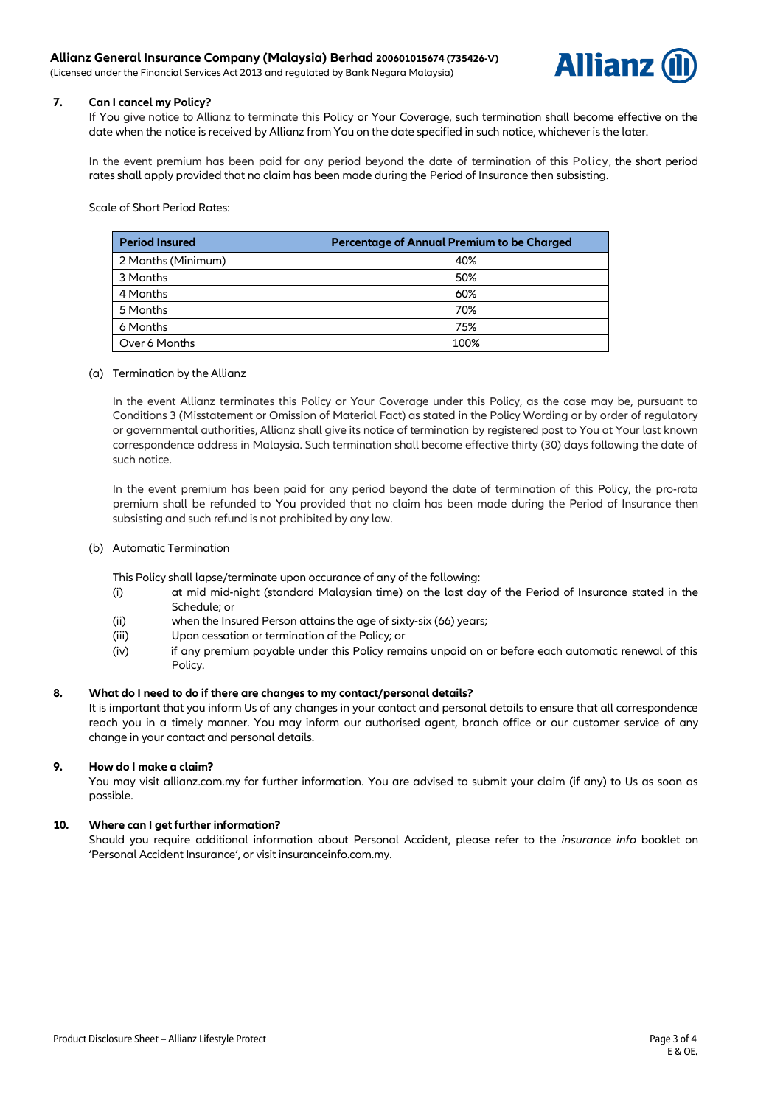(Licensed under the Financial Services Act 2013 and regulated by Bank Negara Malaysia)



## **7. Can I cancel my Policy?**

If You give notice to Allianz to terminate this Policy or Your Coverage, such termination shall become effective on the date when the notice is received by Allianz from You on the date specified in such notice, whichever is the later.

In the event premium has been paid for any period beyond the date of termination of this Policy, the short period rates shall apply provided that no claim has been made during the Period of Insurance then subsisting.

Scale of Short Period Rates:

| <b>Period Insured</b> | <b>Percentage of Annual Premium to be Charged</b> |
|-----------------------|---------------------------------------------------|
| 2 Months (Minimum)    | 40%                                               |
| 3 Months              | 50%                                               |
| 4 Months              | 60%                                               |
| 5 Months              | 70%                                               |
| 6 Months              | 75%                                               |
| Over 6 Months         | 100%                                              |

## (a) Termination by the Allianz

In the event Allianz terminates this Policy or Your Coverage under this Policy, as the case may be, pursuant to Conditions 3 (Misstatement or Omission of Material Fact) as stated in the Policy Wording or by order of regulatory or governmental authorities, Allianz shall give its notice of termination by registered post to You at Your last known correspondence address in Malaysia. Such termination shall become effective thirty (30) days following the date of such notice.

In the event premium has been paid for any period beyond the date of termination of this Policy, the pro-rata premium shall be refunded to You provided that no claim has been made during the Period of Insurance then subsisting and such refund is not prohibited by any law.

## (b) Automatic Termination

This Policy shall lapse/terminate upon occurance of any of the following:

- (i) at mid mid-night (standard Malaysian time) on the last day of the Period of Insurance stated in the Schedule; or
- (ii) when the Insured Person attains the age of sixty-six (66) years;
- (iii) Upon cessation or termination of the Policy; or
- (iv) if any premium payable under this Policy remains unpaid on or before each automatic renewal of this Policy.

## **8. What do I need to do if there are changes to my contact/personal details?**

It is important that you inform Us of any changes in your contact and personal details to ensure that all correspondence reach you in a timely manner. You may inform our authorised agent, branch office or our customer service of any change in your contact and personal details.

## **9. How do I make a claim?**

You may visit allianz.com.my for further information. You are advised to submit your claim (if any) to Us as soon as possible.

# **10. Where can I get further information?**

Should you require additional information about Personal Accident, please refer to the *insurance info* booklet on 'Personal Accident Insurance', or visit [insuranceinfo.com.my.](http://www.insuranceinfo.com.my/)